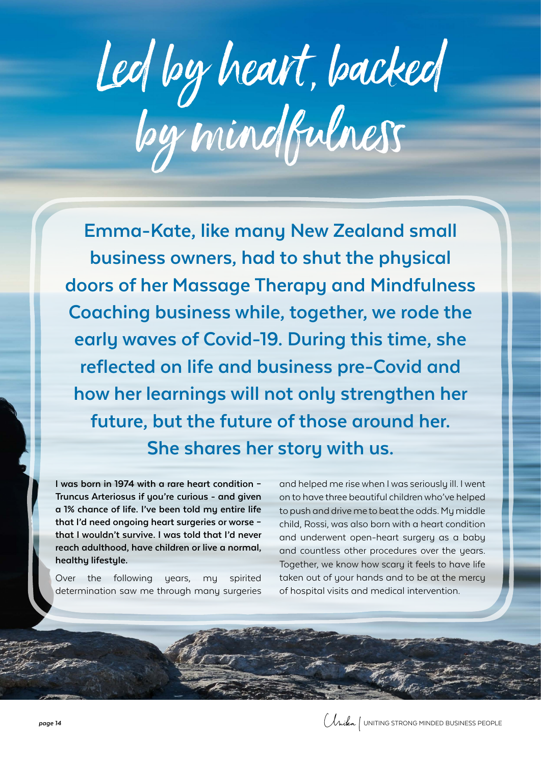# Led by heart, backed by mindfulness

**Emma-Kate, like many New Zealand small business owners, had to shut the physical doors of her Massage Therapy and Mindfulness Coaching business while, together, we rode the early waves of Covid-19. During this time, she reflected on life and business pre-Covid and how her learnings will not only strengthen her future, but the future of those around her. She shares her story with us.**

**I was born in 1974 with a rare heart condition – Truncus Arteriosus if you're curious - and given a 1% chance of life. I've been told my entire life that I'd need ongoing heart surgeries or worse – that I wouldn't survive. I was told that I'd never reach adulthood, have children or live a normal, healthy lifestyle.**

Over the following years, my spirited determination saw me through many surgeries

and helped me rise when I was seriously ill. I went on to have three beautiful children who've helped to push and drive me to beat the odds. My middle child, Rossi, was also born with a heart condition and underwent open-heart surgery as a baby and countless other procedures over the years. Together, we know how scary it feels to have life taken out of your hands and to be at the mercy of hospital visits and medical intervention.